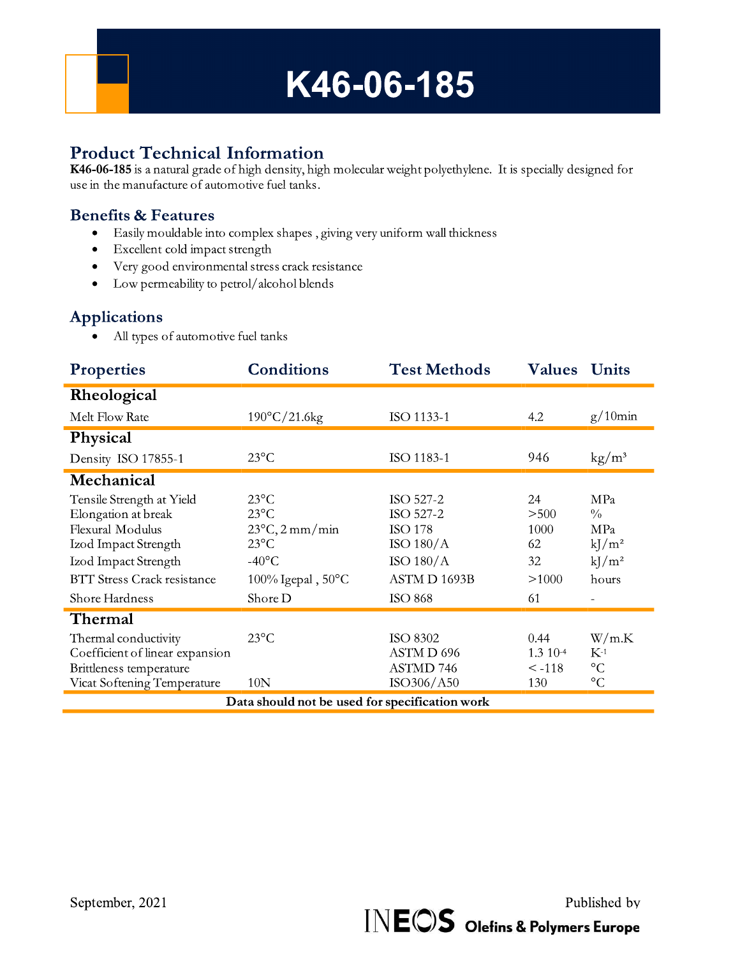

## **Product Technical Information**

K46-06-185 is a natural grade of high density, high molecular weight polyethylene. It is specially designed for use in the manufacture of automotive fuel tanks.

## **Benefits & Features**

- Easily mouldable into complex shapes, giving very uniform wall thickness
- · Excellent cold impact strength
- Very good environmental stress crack resistance
- Low permeability to petrol/alcohol blends  $\bullet$

### **Applications**

• All types of automotive fuel tanks

| <b>Properties</b>                                                                                                                                                            | <b>Conditions</b>                                                                                                                              | <b>Test Methods</b>                                                                                      | <b>Values</b>                                   | <b>Units</b>                                                 |
|------------------------------------------------------------------------------------------------------------------------------------------------------------------------------|------------------------------------------------------------------------------------------------------------------------------------------------|----------------------------------------------------------------------------------------------------------|-------------------------------------------------|--------------------------------------------------------------|
| Rheological                                                                                                                                                                  |                                                                                                                                                |                                                                                                          |                                                 |                                                              |
| Melt Flow Rate                                                                                                                                                               | $190^{\circ}$ C/21.6kg                                                                                                                         | ISO 1133-1                                                                                               | 4.2                                             | $g/10$ min                                                   |
| Physical                                                                                                                                                                     |                                                                                                                                                |                                                                                                          |                                                 |                                                              |
| Density ISO 17855-1                                                                                                                                                          | $23^{\circ}$ C                                                                                                                                 | ISO 1183-1                                                                                               | 946                                             | $\text{kg}/\text{m}^3$                                       |
| Mechanical                                                                                                                                                                   |                                                                                                                                                |                                                                                                          |                                                 |                                                              |
| Tensile Strength at Yield<br>Elongation at break<br>Flexural Modulus<br>Izod Impact Strength<br>Izod Impact Strength<br><b>BTT Stress Crack resistance</b><br>Shore Hardness | $23^{\circ}$ C<br>$23^{\circ}$ C<br>$23^{\circ}$ C, 2 mm/min<br>$23^{\circ}$ C<br>$-40^{\circ}$ C<br>$100\%$ Igepal, $50^{\circ}$ C<br>Shore D | ISO 527-2<br>ISO 527-2<br><b>ISO 178</b><br>ISO $180/A$<br>ISO $180/A$<br>ASTM D 1693B<br><b>ISO 868</b> | 24<br>$>500$<br>1000<br>62<br>32<br>>1000<br>61 | MPa<br>$\frac{0}{0}$<br>MPa<br>$kJ/m^2$<br>$kJ/m^2$<br>hours |
| Thermal<br>Thermal conductivity<br>Coefficient of linear expansion<br>Brittleness temperature<br>Vicat Softening Temperature                                                 | $23^{\circ}$ C<br>10N                                                                                                                          | <b>ISO 8302</b><br>ASTM D 696<br><b>ASTMD 746</b><br>ISO306/A50                                          | 0.44<br>1.3 10-4<br>$\leq -118$<br>130          | W/m.K<br>$K-1$<br>$\rm ^{\circ}C$<br>$\rm ^{\circ}C$         |
| Data should not be used for specification work                                                                                                                               |                                                                                                                                                |                                                                                                          |                                                 |                                                              |